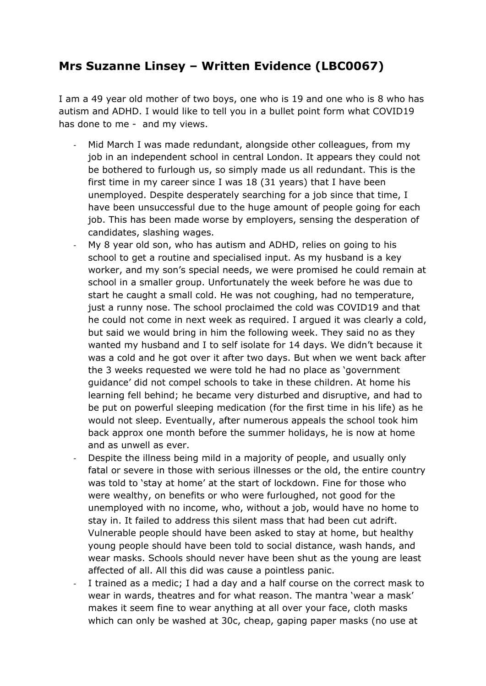## **Mrs Suzanne Linsey – Written Evidence (LBC0067)**

I am a 49 year old mother of two boys, one who is 19 and one who is 8 who has autism and ADHD. I would like to tell you in a bullet point form what COVID19 has done to me - and my views.

- Mid March I was made redundant, alongside other colleagues, from my job in an independent school in central London. It appears they could not be bothered to furlough us, so simply made us all redundant. This is the first time in my career since I was 18 (31 years) that I have been unemployed. Despite desperately searching for a job since that time, I have been unsuccessful due to the huge amount of people going for each job. This has been made worse by employers, sensing the desperation of candidates, slashing wages.
- My 8 year old son, who has autism and ADHD, relies on going to his school to get a routine and specialised input. As my husband is a key worker, and my son's special needs, we were promised he could remain at school in a smaller group. Unfortunately the week before he was due to start he caught a small cold. He was not coughing, had no temperature, just a runny nose. The school proclaimed the cold was COVID19 and that he could not come in next week as required. I argued it was clearly a cold, but said we would bring in him the following week. They said no as they wanted my husband and I to self isolate for 14 days. We didn't because it was a cold and he got over it after two days. But when we went back after the 3 weeks requested we were told he had no place as 'government guidance' did not compel schools to take in these children. At home his learning fell behind; he became very disturbed and disruptive, and had to be put on powerful sleeping medication (for the first time in his life) as he would not sleep. Eventually, after numerous appeals the school took him back approx one month before the summer holidays, he is now at home and as unwell as ever.
- Despite the illness being mild in a majority of people, and usually only fatal or severe in those with serious illnesses or the old, the entire country was told to 'stay at home' at the start of lockdown. Fine for those who were wealthy, on benefits or who were furloughed, not good for the unemployed with no income, who, without a job, would have no home to stay in. It failed to address this silent mass that had been cut adrift. Vulnerable people should have been asked to stay at home, but healthy young people should have been told to social distance, wash hands, and wear masks. Schools should never have been shut as the young are least affected of all. All this did was cause a pointless panic.
- I trained as a medic; I had a day and a half course on the correct mask to wear in wards, theatres and for what reason. The mantra 'wear a mask' makes it seem fine to wear anything at all over your face, cloth masks which can only be washed at 30c, cheap, gaping paper masks (no use at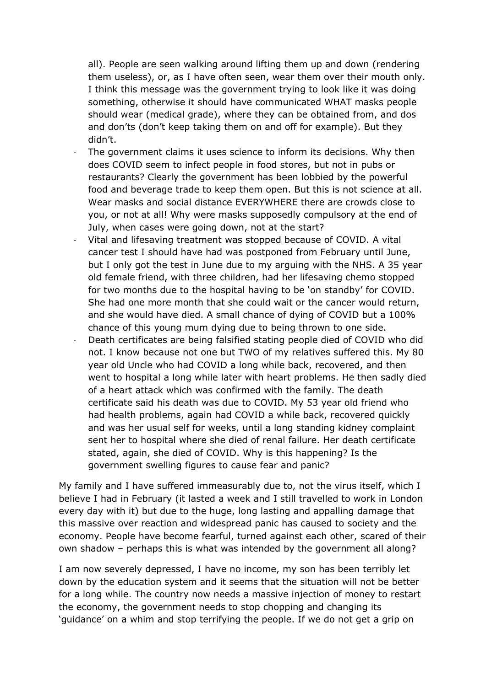all). People are seen walking around lifting them up and down (rendering them useless), or, as I have often seen, wear them over their mouth only. I think this message was the government trying to look like it was doing something, otherwise it should have communicated WHAT masks people should wear (medical grade), where they can be obtained from, and dos and don'ts (don't keep taking them on and off for example). But they didn't.

- The government claims it uses science to inform its decisions. Why then does COVID seem to infect people in food stores, but not in pubs or restaurants? Clearly the government has been lobbied by the powerful food and beverage trade to keep them open. But this is not science at all. Wear masks and social distance EVERYWHERE there are crowds close to you, or not at all! Why were masks supposedly compulsory at the end of July, when cases were going down, not at the start?
- Vital and lifesaving treatment was stopped because of COVID. A vital cancer test I should have had was postponed from February until June, but I only got the test in June due to my arguing with the NHS. A 35 year old female friend, with three children, had her lifesaving chemo stopped for two months due to the hospital having to be 'on standby' for COVID. She had one more month that she could wait or the cancer would return, and she would have died. A small chance of dying of COVID but a 100% chance of this young mum dying due to being thrown to one side.
- Death certificates are being falsified stating people died of COVID who did not. I know because not one but TWO of my relatives suffered this. My 80 year old Uncle who had COVID a long while back, recovered, and then went to hospital a long while later with heart problems. He then sadly died of a heart attack which was confirmed with the family. The death certificate said his death was due to COVID. My 53 year old friend who had health problems, again had COVID a while back, recovered quickly and was her usual self for weeks, until a long standing kidney complaint sent her to hospital where she died of renal failure. Her death certificate stated, again, she died of COVID. Why is this happening? Is the government swelling figures to cause fear and panic?

My family and I have suffered immeasurably due to, not the virus itself, which I believe I had in February (it lasted a week and I still travelled to work in London every day with it) but due to the huge, long lasting and appalling damage that this massive over reaction and widespread panic has caused to society and the economy. People have become fearful, turned against each other, scared of their own shadow – perhaps this is what was intended by the government all along?

I am now severely depressed, I have no income, my son has been terribly let down by the education system and it seems that the situation will not be better for a long while. The country now needs a massive injection of money to restart the economy, the government needs to stop chopping and changing its 'guidance' on a whim and stop terrifying the people. If we do not get a grip on